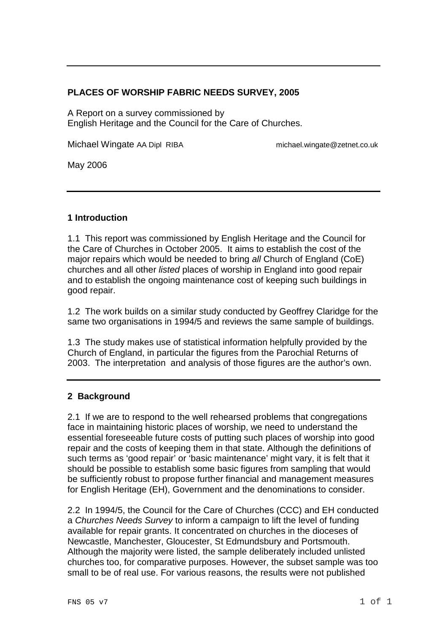# **PLACES OF WORSHIP FABRIC NEEDS SURVEY, 2005**

A Report on a survey commissioned by English Heritage and the Council for the Care of Churches.

Michael Wingate AA Dipl RIBA michael.wingate@zetnet.co.uk

May 2006

# **1 Introduction**

1.1 This report was commissioned by English Heritage and the Council for the Care of Churches in October 2005. It aims to establish the cost of the major repairs which would be needed to bring all Church of England (CoE) churches and all other listed places of worship in England into good repair and to establish the ongoing maintenance cost of keeping such buildings in good repair.

1.2 The work builds on a similar study conducted by Geoffrey Claridge for the same two organisations in 1994/5 and reviews the same sample of buildings.

1.3 The study makes use of statistical information helpfully provided by the Church of England, in particular the figures from the Parochial Returns of 2003. The interpretation and analysis of those figures are the author's own.

# **2 Background**

2.1 If we are to respond to the well rehearsed problems that congregations face in maintaining historic places of worship, we need to understand the essential foreseeable future costs of putting such places of worship into good repair and the costs of keeping them in that state. Although the definitions of such terms as 'good repair' or 'basic maintenance' might vary, it is felt that it should be possible to establish some basic figures from sampling that would be sufficiently robust to propose further financial and management measures for English Heritage (EH), Government and the denominations to consider.

2.2 In 1994/5, the Council for the Care of Churches (CCC) and EH conducted a Churches Needs Survey to inform a campaign to lift the level of funding available for repair grants. It concentrated on churches in the dioceses of Newcastle, Manchester, Gloucester, St Edmundsbury and Portsmouth. Although the majority were listed, the sample deliberately included unlisted churches too, for comparative purposes. However, the subset sample was too small to be of real use. For various reasons, the results were not published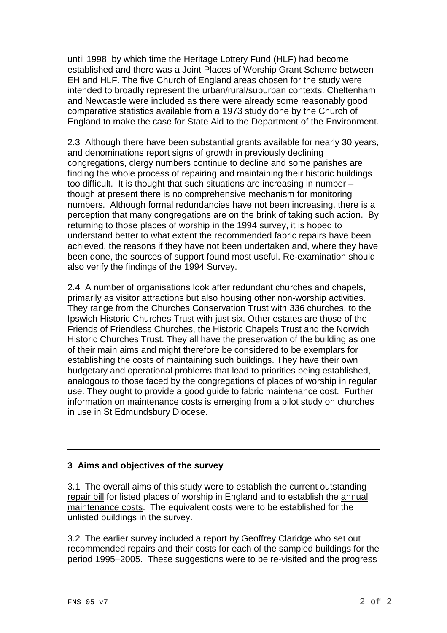until 1998, by which time the Heritage Lottery Fund (HLF) had become established and there was a Joint Places of Worship Grant Scheme between EH and HLF. The five Church of England areas chosen for the study were intended to broadly represent the urban/rural/suburban contexts. Cheltenham and Newcastle were included as there were already some reasonably good comparative statistics available from a 1973 study done by the Church of England to make the case for State Aid to the Department of the Environment.

2.3 Although there have been substantial grants available for nearly 30 years, and denominations report signs of growth in previously declining congregations, clergy numbers continue to decline and some parishes are finding the whole process of repairing and maintaining their historic buildings too difficult. It is thought that such situations are increasing in number – though at present there is no comprehensive mechanism for monitoring numbers. Although formal redundancies have not been increasing, there is a perception that many congregations are on the brink of taking such action. By returning to those places of worship in the 1994 survey, it is hoped to understand better to what extent the recommended fabric repairs have been achieved, the reasons if they have not been undertaken and, where they have been done, the sources of support found most useful. Re-examination should also verify the findings of the 1994 Survey.

2.4 A number of organisations look after redundant churches and chapels, primarily as visitor attractions but also housing other non-worship activities. They range from the Churches Conservation Trust with 336 churches, to the Ipswich Historic Churches Trust with just six. Other estates are those of the Friends of Friendless Churches, the Historic Chapels Trust and the Norwich Historic Churches Trust. They all have the preservation of the building as one of their main aims and might therefore be considered to be exemplars for establishing the costs of maintaining such buildings. They have their own budgetary and operational problems that lead to priorities being established, analogous to those faced by the congregations of places of worship in regular use. They ought to provide a good guide to fabric maintenance cost. Further information on maintenance costs is emerging from a pilot study on churches in use in St Edmundsbury Diocese.

# **3 Aims and objectives of the survey**

3.1 The overall aims of this study were to establish the current outstanding repair bill for listed places of worship in England and to establish the annual maintenance costs. The equivalent costs were to be established for the unlisted buildings in the survey.

3.2 The earlier survey included a report by Geoffrey Claridge who set out recommended repairs and their costs for each of the sampled buildings for the period 1995–2005. These suggestions were to be re-visited and the progress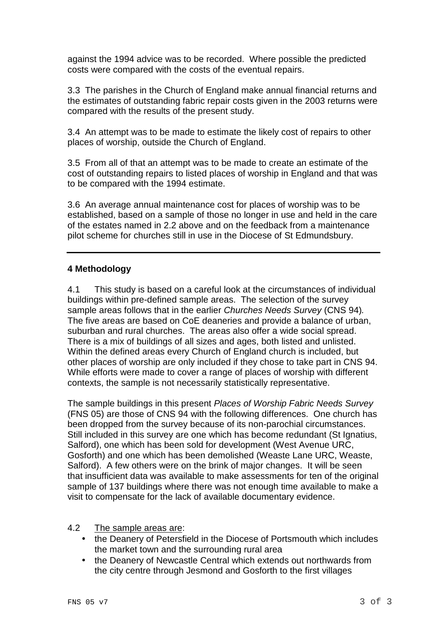against the 1994 advice was to be recorded. Where possible the predicted costs were compared with the costs of the eventual repairs.

3.3 The parishes in the Church of England make annual financial returns and the estimates of outstanding fabric repair costs given in the 2003 returns were compared with the results of the present study.

3.4 An attempt was to be made to estimate the likely cost of repairs to other places of worship, outside the Church of England.

3.5 From all of that an attempt was to be made to create an estimate of the cost of outstanding repairs to listed places of worship in England and that was to be compared with the 1994 estimate.

3.6 An average annual maintenance cost for places of worship was to be established, based on a sample of those no longer in use and held in the care of the estates named in 2.2 above and on the feedback from a maintenance pilot scheme for churches still in use in the Diocese of St Edmundsbury.

# **4 Methodology**

4.1 This study is based on a careful look at the circumstances of individual buildings within pre-defined sample areas. The selection of the survey sample areas follows that in the earlier Churches Needs Survey (CNS 94). The five areas are based on CoE deaneries and provide a balance of urban, suburban and rural churches. The areas also offer a wide social spread. There is a mix of buildings of all sizes and ages, both listed and unlisted. Within the defined areas every Church of England church is included, but other places of worship are only included if they chose to take part in CNS 94. While efforts were made to cover a range of places of worship with different contexts, the sample is not necessarily statistically representative.

The sample buildings in this present Places of Worship Fabric Needs Survey (FNS 05) are those of CNS 94 with the following differences. One church has been dropped from the survey because of its non-parochial circumstances. Still included in this survey are one which has become redundant (St Ignatius, Salford), one which has been sold for development (West Avenue URC, Gosforth) and one which has been demolished (Weaste Lane URC, Weaste, Salford). A few others were on the brink of major changes. It will be seen that insufficient data was available to make assessments for ten of the original sample of 137 buildings where there was not enough time available to make a visit to compensate for the lack of available documentary evidence.

#### 4.2 The sample areas are:

- the Deanery of Petersfield in the Diocese of Portsmouth which includes the market town and the surrounding rural area
- the Deanery of Newcastle Central which extends out northwards from the city centre through Jesmond and Gosforth to the first villages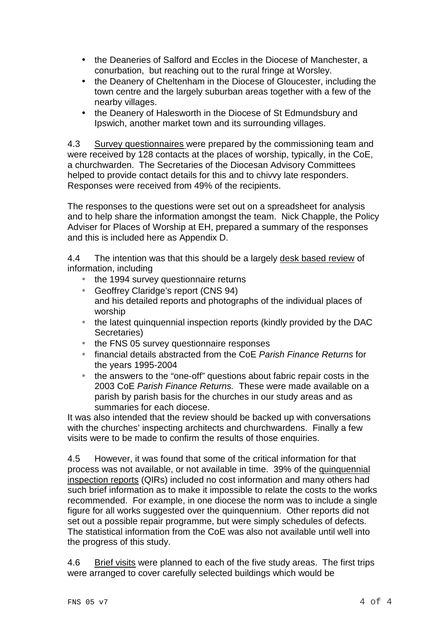- the Deaneries of Salford and Eccles in the Diocese of Manchester, a conurbation, but reaching out to the rural fringe at Worsley.
- the Deanery of Cheltenham in the Diocese of Gloucester, including the town centre and the largely suburban areas together with a few of the nearby villages.
- the Deanery of Halesworth in the Diocese of St Edmundsbury and Ipswich, another market town and its surrounding villages.

4.3 Survey questionnaires were prepared by the commissioning team and were received by 128 contacts at the places of worship, typically, in the CoE, a churchwarden. The Secretaries of the Diocesan Advisory Committees helped to provide contact details for this and to chivvy late responders. Responses were received from 49% of the recipients.

The responses to the questions were set out on a spreadsheet for analysis and to help share the information amongst the team. Nick Chapple, the Policy Adviser for Places of Worship at EH, prepared a summary of the responses and this is included here as Appendix D.

4.4 The intention was that this should be a largely desk based review of information, including

- the 1994 survey questionnaire returns
- Geoffrey Claridge's report (CNS 94) and his detailed reports and photographs of the individual places of worship
- the latest quinquennial inspection reports (kindly provided by the DAC Secretaries)
- the FNS 05 survey questionnaire responses
- financial details abstracted from the CoE Parish Finance Returns for the years 1995-2004
- the answers to the "one-off" questions about fabric repair costs in the 2003 CoE Parish Finance Returns. These were made available on a parish by parish basis for the churches in our study areas and as summaries for each diocese.

It was also intended that the review should be backed up with conversations with the churches' inspecting architects and churchwardens. Finally a few visits were to be made to confirm the results of those enquiries.

4.5 However, it was found that some of the critical information for that process was not available, or not available in time. 39% of the quinquennial inspection reports (QIRs) included no cost information and many others had such brief information as to make it impossible to relate the costs to the works recommended. For example, in one diocese the norm was to include a single figure for all works suggested over the quinquennium. Other reports did not set out a possible repair programme, but were simply schedules of defects. The statistical information from the CoE was also not available until well into the progress of this study.

4.6 Brief visits were planned to each of the five study areas. The first trips were arranged to cover carefully selected buildings which would be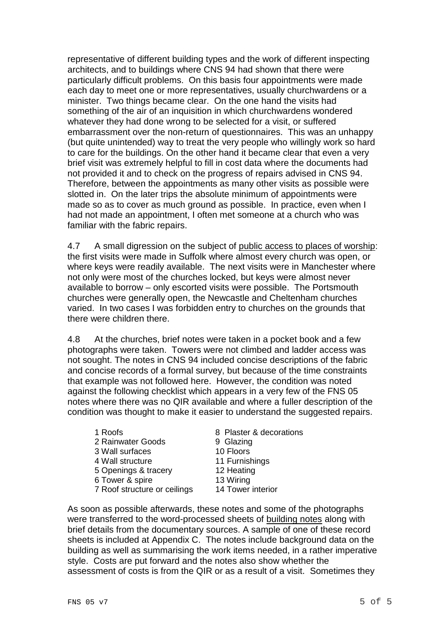representative of different building types and the work of different inspecting architects, and to buildings where CNS 94 had shown that there were particularly difficult problems. On this basis four appointments were made each day to meet one or more representatives, usually churchwardens or a minister. Two things became clear. On the one hand the visits had something of the air of an inquisition in which churchwardens wondered whatever they had done wrong to be selected for a visit, or suffered embarrassment over the non-return of questionnaires. This was an unhappy (but quite unintended) way to treat the very people who willingly work so hard to care for the buildings. On the other hand it became clear that even a very brief visit was extremely helpful to fill in cost data where the documents had not provided it and to check on the progress of repairs advised in CNS 94. Therefore, between the appointments as many other visits as possible were slotted in. On the later trips the absolute minimum of appointments were made so as to cover as much ground as possible. In practice, even when I had not made an appointment, I often met someone at a church who was familiar with the fabric repairs.

4.7 A small digression on the subject of public access to places of worship: the first visits were made in Suffolk where almost every church was open, or where keys were readily available. The next visits were in Manchester where not only were most of the churches locked, but keys were almost never available to borrow – only escorted visits were possible. The Portsmouth churches were generally open, the Newcastle and Cheltenham churches varied. In two cases I was forbidden entry to churches on the grounds that there were children there.

4.8 At the churches, brief notes were taken in a pocket book and a few photographs were taken. Towers were not climbed and ladder access was not sought. The notes in CNS 94 included concise descriptions of the fabric and concise records of a formal survey, but because of the time constraints that example was not followed here. However, the condition was noted against the following checklist which appears in a very few of the FNS 05 notes where there was no QIR available and where a fuller description of the condition was thought to make it easier to understand the suggested repairs.

| 1 Roofs                      | 8 Plaster & decorations |
|------------------------------|-------------------------|
| 2 Rainwater Goods            | 9 Glazing               |
| 3 Wall surfaces              | 10 Floors               |
| 4 Wall structure             | 11 Furnishings          |
| 5 Openings & tracery         | 12 Heating              |
| 6 Tower & spire              | 13 Wiring               |
| 7 Roof structure or ceilings | 14 Tower interior       |

As soon as possible afterwards, these notes and some of the photographs were transferred to the word-processed sheets of building notes along with brief details from the documentary sources. A sample of one of these record sheets is included at Appendix C. The notes include background data on the building as well as summarising the work items needed, in a rather imperative style. Costs are put forward and the notes also show whether the assessment of costs is from the QIR or as a result of a visit. Sometimes they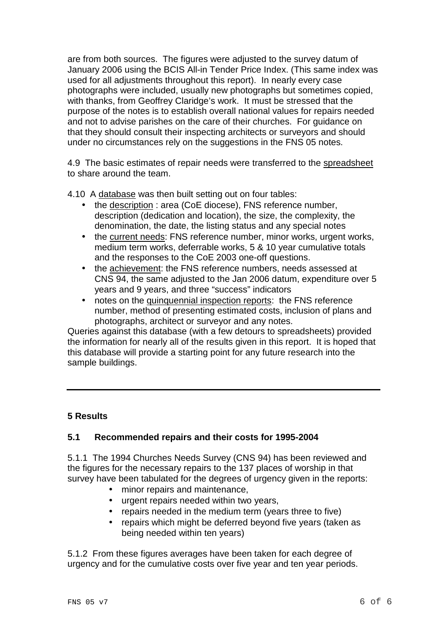are from both sources. The figures were adjusted to the survey datum of January 2006 using the BCIS All-in Tender Price Index. (This same index was used for all adjustments throughout this report). In nearly every case photographs were included, usually new photographs but sometimes copied, with thanks, from Geoffrey Claridge's work. It must be stressed that the purpose of the notes is to establish overall national values for repairs needed and not to advise parishes on the care of their churches. For guidance on that they should consult their inspecting architects or surveyors and should under no circumstances rely on the suggestions in the FNS 05 notes.

4.9 The basic estimates of repair needs were transferred to the spreadsheet to share around the team.

4.10 A database was then built setting out on four tables:

- the description : area (CoE diocese), FNS reference number, description (dedication and location), the size, the complexity, the denomination, the date, the listing status and any special notes
- the current needs: FNS reference number, minor works, urgent works, medium term works, deferrable works, 5 & 10 year cumulative totals and the responses to the CoE 2003 one-off questions.
- the achievement: the FNS reference numbers, needs assessed at CNS 94, the same adjusted to the Jan 2006 datum, expenditure over 5 years and 9 years, and three "success" indicators
- notes on the quinquennial inspection reports: the FNS reference number, method of presenting estimated costs, inclusion of plans and photographs, architect or surveyor and any notes.

Queries against this database (with a few detours to spreadsheets) provided the information for nearly all of the results given in this report. It is hoped that this database will provide a starting point for any future research into the sample buildings.

# **5 Results**

#### **5.1 Recommended repairs and their costs for 1995-2004**

5.1.1 The 1994 Churches Needs Survey (CNS 94) has been reviewed and the figures for the necessary repairs to the 137 places of worship in that survey have been tabulated for the degrees of urgency given in the reports:

- minor repairs and maintenance,
- urgent repairs needed within two years,
- repairs needed in the medium term (years three to five)
- repairs which might be deferred beyond five years (taken as being needed within ten years)

5.1.2 From these figures averages have been taken for each degree of urgency and for the cumulative costs over five year and ten year periods.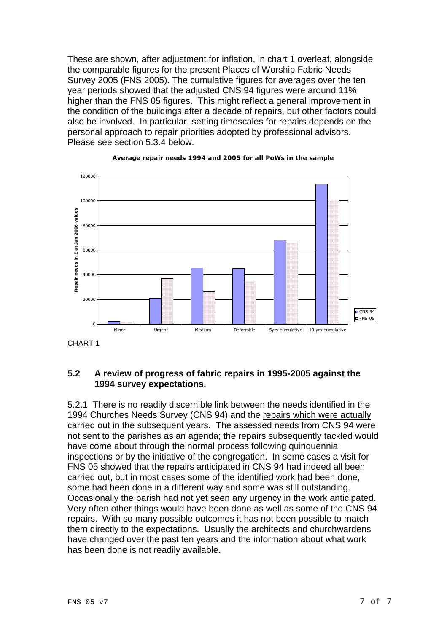These are shown, after adjustment for inflation, in chart 1 overleaf, alongside the comparable figures for the present Places of Worship Fabric Needs Survey 2005 (FNS 2005). The cumulative figures for averages over the ten year periods showed that the adjusted CNS 94 figures were around 11% higher than the FNS 05 figures. This might reflect a general improvement in the condition of the buildings after a decade of repairs, but other factors could also be involved. In particular, setting timescales for repairs depends on the personal approach to repair priorities adopted by professional advisors. Please see section 5.3.4 below.



#### Average repair needs 1994 and 2005 for all PoWs in the sample

CHART 1

# **5.2 A review of progress of fabric repairs in 1995-2005 against the 1994 survey expectations.**

5.2.1 There is no readily discernible link between the needs identified in the 1994 Churches Needs Survey (CNS 94) and the repairs which were actually carried out in the subsequent years. The assessed needs from CNS 94 were not sent to the parishes as an agenda; the repairs subsequently tackled would have come about through the normal process following quinquennial inspections or by the initiative of the congregation. In some cases a visit for FNS 05 showed that the repairs anticipated in CNS 94 had indeed all been carried out, but in most cases some of the identified work had been done, some had been done in a different way and some was still outstanding. Occasionally the parish had not yet seen any urgency in the work anticipated. Very often other things would have been done as well as some of the CNS 94 repairs. With so many possible outcomes it has not been possible to match them directly to the expectations. Usually the architects and churchwardens have changed over the past ten years and the information about what work has been done is not readily available.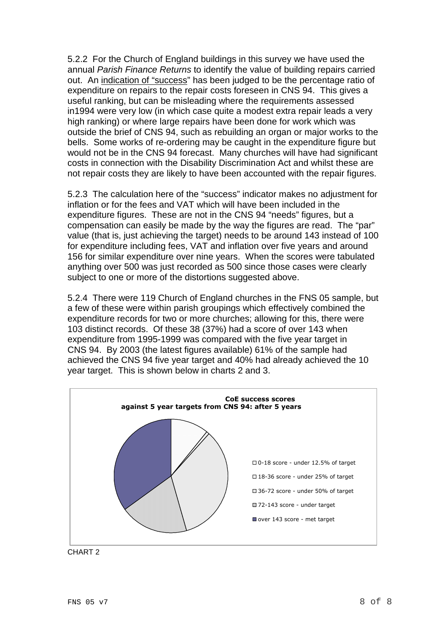5.2.2 For the Church of England buildings in this survey we have used the annual Parish Finance Returns to identify the value of building repairs carried out. An indication of "success" has been judged to be the percentage ratio of expenditure on repairs to the repair costs foreseen in CNS 94. This gives a useful ranking, but can be misleading where the requirements assessed in1994 were very low (in which case quite a modest extra repair leads a very high ranking) or where large repairs have been done for work which was outside the brief of CNS 94, such as rebuilding an organ or major works to the bells. Some works of re-ordering may be caught in the expenditure figure but would not be in the CNS 94 forecast. Many churches will have had significant costs in connection with the Disability Discrimination Act and whilst these are not repair costs they are likely to have been accounted with the repair figures.

5.2.3 The calculation here of the "success" indicator makes no adjustment for inflation or for the fees and VAT which will have been included in the expenditure figures. These are not in the CNS 94 "needs" figures, but a compensation can easily be made by the way the figures are read. The "par" value (that is, just achieving the target) needs to be around 143 instead of 100 for expenditure including fees, VAT and inflation over five years and around 156 for similar expenditure over nine years. When the scores were tabulated anything over 500 was just recorded as 500 since those cases were clearly subject to one or more of the distortions suggested above.

5.2.4 There were 119 Church of England churches in the FNS 05 sample, but a few of these were within parish groupings which effectively combined the expenditure records for two or more churches; allowing for this, there were 103 distinct records. Of these 38 (37%) had a score of over 143 when expenditure from 1995-1999 was compared with the five year target in CNS 94. By 2003 (the latest figures available) 61% of the sample had achieved the CNS 94 five year target and 40% had already achieved the 10 year target. This is shown below in charts 2 and 3.



CHART 2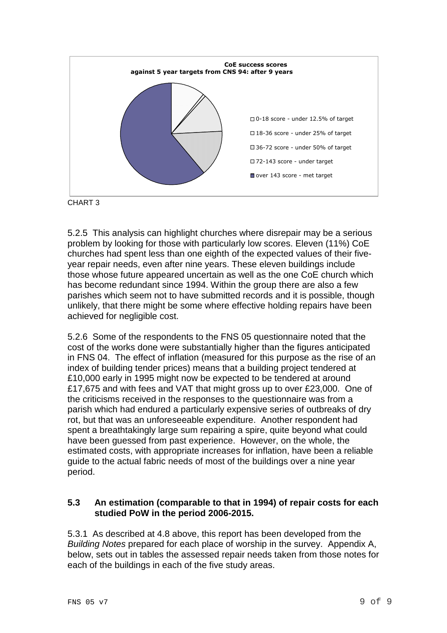



5.2.5 This analysis can highlight churches where disrepair may be a serious problem by looking for those with particularly low scores. Eleven (11%) CoE churches had spent less than one eighth of the expected values of their fiveyear repair needs, even after nine years. These eleven buildings include those whose future appeared uncertain as well as the one CoE church which has become redundant since 1994. Within the group there are also a few parishes which seem not to have submitted records and it is possible, though unlikely, that there might be some where effective holding repairs have been achieved for negligible cost.

5.2.6 Some of the respondents to the FNS 05 questionnaire noted that the cost of the works done were substantially higher than the figures anticipated in FNS 04. The effect of inflation (measured for this purpose as the rise of an index of building tender prices) means that a building project tendered at £10,000 early in 1995 might now be expected to be tendered at around £17,675 and with fees and VAT that might gross up to over £23,000. One of the criticisms received in the responses to the questionnaire was from a parish which had endured a particularly expensive series of outbreaks of dry rot, but that was an unforeseeable expenditure. Another respondent had spent a breathtakingly large sum repairing a spire, quite beyond what could have been guessed from past experience. However, on the whole, the estimated costs, with appropriate increases for inflation, have been a reliable guide to the actual fabric needs of most of the buildings over a nine year period.

#### **5.3 An estimation (comparable to that in 1994) of repair costs for each studied PoW in the period 2006-2015.**

5.3.1 As described at 4.8 above, this report has been developed from the Building Notes prepared for each place of worship in the survey. Appendix A, below, sets out in tables the assessed repair needs taken from those notes for each of the buildings in each of the five study areas.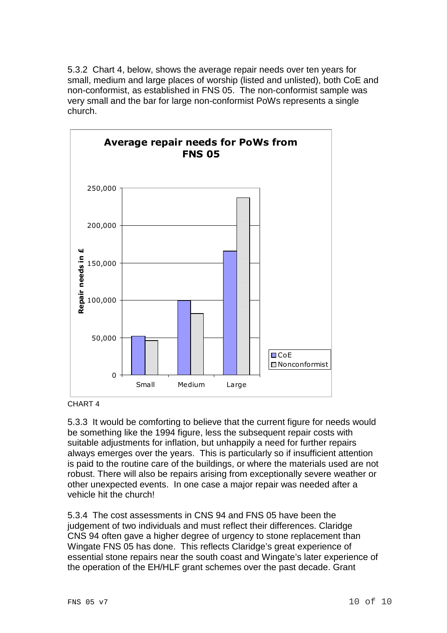5.3.2 Chart 4, below, shows the average repair needs over ten years for small, medium and large places of worship (listed and unlisted), both CoE and non-conformist, as established in FNS 05. The non-conformist sample was very small and the bar for large non-conformist PoWs represents a single church.



CHART 4

5.3.3 It would be comforting to believe that the current figure for needs would be something like the 1994 figure, less the subsequent repair costs with suitable adjustments for inflation, but unhappily a need for further repairs always emerges over the years. This is particularly so if insufficient attention is paid to the routine care of the buildings, or where the materials used are not robust. There will also be repairs arising from exceptionally severe weather or other unexpected events. In one case a major repair was needed after a vehicle hit the church!

5.3.4 The cost assessments in CNS 94 and FNS 05 have been the judgement of two individuals and must reflect their differences. Claridge CNS 94 often gave a higher degree of urgency to stone replacement than Wingate FNS 05 has done. This reflects Claridge's great experience of essential stone repairs near the south coast and Wingate's later experience of the operation of the EH/HLF grant schemes over the past decade. Grant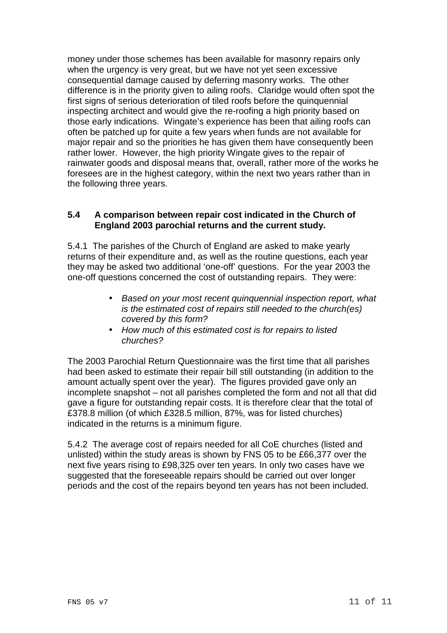money under those schemes has been available for masonry repairs only when the urgency is very great, but we have not yet seen excessive consequential damage caused by deferring masonry works. The other difference is in the priority given to ailing roofs. Claridge would often spot the first signs of serious deterioration of tiled roofs before the quinquennial inspecting architect and would give the re-roofing a high priority based on those early indications. Wingate's experience has been that ailing roofs can often be patched up for quite a few years when funds are not available for major repair and so the priorities he has given them have consequently been rather lower. However, the high priority Wingate gives to the repair of rainwater goods and disposal means that, overall, rather more of the works he foresees are in the highest category, within the next two years rather than in the following three years.

#### **5.4 A comparison between repair cost indicated in the Church of England 2003 parochial returns and the current study.**

5.4.1 The parishes of the Church of England are asked to make yearly returns of their expenditure and, as well as the routine questions, each year they may be asked two additional 'one-off' questions. For the year 2003 the one-off questions concerned the cost of outstanding repairs. They were:

- Based on your most recent quinquennial inspection report, what is the estimated cost of repairs still needed to the church(es) covered by this form?
- How much of this estimated cost is for repairs to listed churches?

The 2003 Parochial Return Questionnaire was the first time that all parishes had been asked to estimate their repair bill still outstanding (in addition to the amount actually spent over the year). The figures provided gave only an incomplete snapshot – not all parishes completed the form and not all that did gave a figure for outstanding repair costs. It is therefore clear that the total of £378.8 million (of which £328.5 million, 87%, was for listed churches) indicated in the returns is a minimum figure.

5.4.2 The average cost of repairs needed for all CoE churches (listed and unlisted) within the study areas is shown by FNS 05 to be £66,377 over the next five years rising to £98,325 over ten years. In only two cases have we suggested that the foreseeable repairs should be carried out over longer periods and the cost of the repairs beyond ten years has not been included.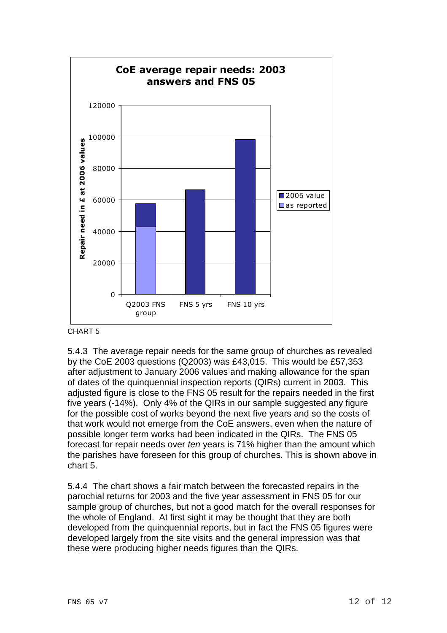

CHART 5

5.4.3 The average repair needs for the same group of churches as revealed by the CoE 2003 questions (Q2003) was £43,015. This would be £57,353 after adjustment to January 2006 values and making allowance for the span of dates of the quinquennial inspection reports (QIRs) current in 2003. This adjusted figure is close to the FNS 05 result for the repairs needed in the first five years (-14%). Only 4% of the QIRs in our sample suggested any figure for the possible cost of works beyond the next five years and so the costs of that work would not emerge from the CoE answers, even when the nature of possible longer term works had been indicated in the QIRs. The FNS 05 forecast for repair needs over ten years is 71% higher than the amount which the parishes have foreseen for this group of churches. This is shown above in chart 5.

5.4.4 The chart shows a fair match between the forecasted repairs in the parochial returns for 2003 and the five year assessment in FNS 05 for our sample group of churches, but not a good match for the overall responses for the whole of England. At first sight it may be thought that they are both developed from the quinquennial reports, but in fact the FNS 05 figures were developed largely from the site visits and the general impression was that these were producing higher needs figures than the QIRs.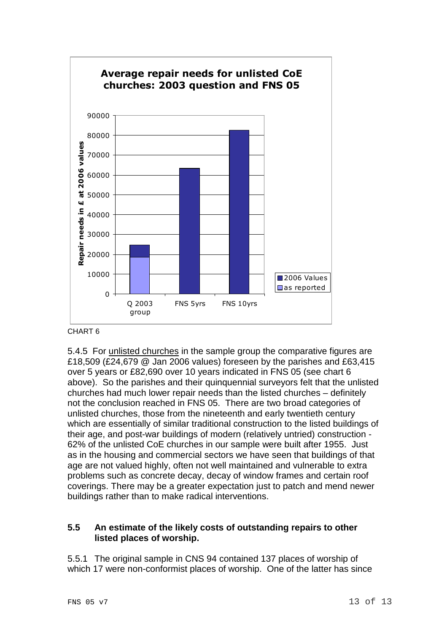

CHART 6

5.4.5 For unlisted churches in the sample group the comparative figures are £18,509 (£24,679 @ Jan 2006 values) foreseen by the parishes and £63,415 over 5 years or £82,690 over 10 years indicated in FNS 05 (see chart 6 above). So the parishes and their quinquennial surveyors felt that the unlisted churches had much lower repair needs than the listed churches – definitely not the conclusion reached in FNS 05. There are two broad categories of unlisted churches, those from the nineteenth and early twentieth century which are essentially of similar traditional construction to the listed buildings of their age, and post-war buildings of modern (relatively untried) construction - 62% of the unlisted CoE churches in our sample were built after 1955. Just as in the housing and commercial sectors we have seen that buildings of that age are not valued highly, often not well maintained and vulnerable to extra problems such as concrete decay, decay of window frames and certain roof coverings. There may be a greater expectation just to patch and mend newer buildings rather than to make radical interventions.

# **5.5 An estimate of the likely costs of outstanding repairs to other listed places of worship.**

5.5.1 The original sample in CNS 94 contained 137 places of worship of which 17 were non-conformist places of worship. One of the latter has since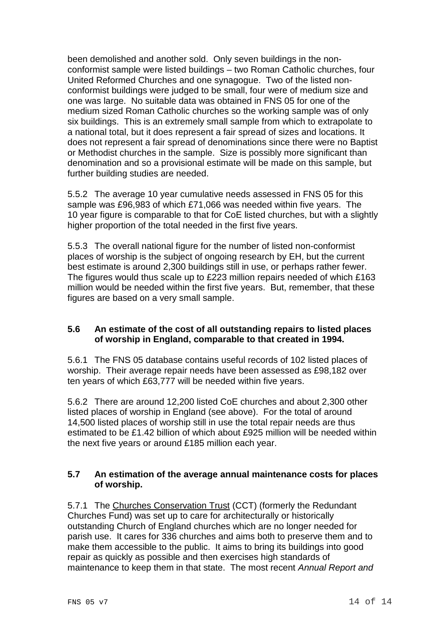been demolished and another sold. Only seven buildings in the nonconformist sample were listed buildings – two Roman Catholic churches, four United Reformed Churches and one synagogue. Two of the listed nonconformist buildings were judged to be small, four were of medium size and one was large. No suitable data was obtained in FNS 05 for one of the medium sized Roman Catholic churches so the working sample was of only six buildings. This is an extremely small sample from which to extrapolate to a national total, but it does represent a fair spread of sizes and locations. It does not represent a fair spread of denominations since there were no Baptist or Methodist churches in the sample. Size is possibly more significant than denomination and so a provisional estimate will be made on this sample, but further building studies are needed.

5.5.2 The average 10 year cumulative needs assessed in FNS 05 for this sample was £96,983 of which £71,066 was needed within five years. The 10 year figure is comparable to that for CoE listed churches, but with a slightly higher proportion of the total needed in the first five years.

5.5.3 The overall national figure for the number of listed non-conformist places of worship is the subject of ongoing research by EH, but the current best estimate is around 2,300 buildings still in use, or perhaps rather fewer. The figures would thus scale up to £223 million repairs needed of which £163 million would be needed within the first five years. But, remember, that these figures are based on a very small sample.

# **5.6 An estimate of the cost of all outstanding repairs to listed places of worship in England, comparable to that created in 1994.**

5.6.1 The FNS 05 database contains useful records of 102 listed places of worship. Their average repair needs have been assessed as £98,182 over ten years of which £63,777 will be needed within five years.

5.6.2 There are around 12,200 listed CoE churches and about 2,300 other listed places of worship in England (see above). For the total of around 14,500 listed places of worship still in use the total repair needs are thus estimated to be £1.42 billion of which about £925 million will be needed within the next five years or around £185 million each year.

# **5.7 An estimation of the average annual maintenance costs for places of worship.**

5.7.1 The Churches Conservation Trust (CCT) (formerly the Redundant Churches Fund) was set up to care for architecturally or historically outstanding Church of England churches which are no longer needed for parish use. It cares for 336 churches and aims both to preserve them and to make them accessible to the public. It aims to bring its buildings into good repair as quickly as possible and then exercises high standards of maintenance to keep them in that state. The most recent Annual Report and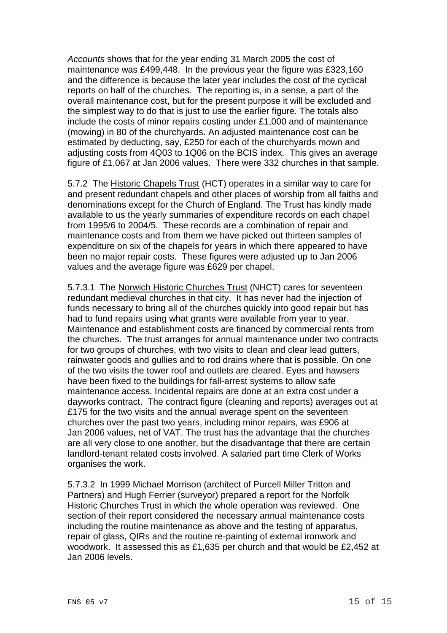Accounts shows that for the year ending 31 March 2005 the cost of maintenance was £499,448. In the previous year the figure was £323,160 and the difference is because the later year includes the cost of the cyclical reports on half of the churches. The reporting is, in a sense, a part of the overall maintenance cost, but for the present purpose it will be excluded and the simplest way to do that is just to use the earlier figure. The totals also include the costs of minor repairs costing under £1,000 and of maintenance (mowing) in 80 of the churchyards. An adjusted maintenance cost can be estimated by deducting, say, £250 for each of the churchyards mown and adjusting costs from 4Q03 to 1Q06 on the BCIS index. This gives an average figure of £1,067 at Jan 2006 values. There were 332 churches in that sample.

5.7.2 The Historic Chapels Trust (HCT) operates in a similar way to care for and present redundant chapels and other places of worship from all faiths and denominations except for the Church of England. The Trust has kindly made available to us the yearly summaries of expenditure records on each chapel from 1995/6 to 2004/5. These records are a combination of repair and maintenance costs and from them we have picked out thirteen samples of expenditure on six of the chapels for years in which there appeared to have been no major repair costs. These figures were adjusted up to Jan 2006 values and the average figure was £629 per chapel.

5.7.3.1 The Norwich Historic Churches Trust (NHCT) cares for seventeen redundant medieval churches in that city. It has never had the injection of funds necessary to bring all of the churches quickly into good repair but has had to fund repairs using what grants were available from year to year. Maintenance and establishment costs are financed by commercial rents from the churches. The trust arranges for annual maintenance under two contracts for two groups of churches, with two visits to clean and clear lead gutters, rainwater goods and gullies and to rod drains where that is possible. On one of the two visits the tower roof and outlets are cleared. Eyes and hawsers have been fixed to the buildings for fall-arrest systems to allow safe maintenance access. Incidental repairs are done at an extra cost under a dayworks contract. The contract figure (cleaning and reports) averages out at £175 for the two visits and the annual average spent on the seventeen churches over the past two years, including minor repairs, was £906 at Jan 2006 values, net of VAT. The trust has the advantage that the churches are all very close to one another, but the disadvantage that there are certain landlord-tenant related costs involved. A salaried part time Clerk of Works organises the work.

5.7.3.2 In 1999 Michael Morrison (architect of Purcell Miller Tritton and Partners) and Hugh Ferrier (surveyor) prepared a report for the Norfolk Historic Churches Trust in which the whole operation was reviewed. One section of their report considered the necessary annual maintenance costs including the routine maintenance as above and the testing of apparatus, repair of glass, QIRs and the routine re-painting of external ironwork and woodwork. It assessed this as £1,635 per church and that would be £2,452 at Jan 2006 levels.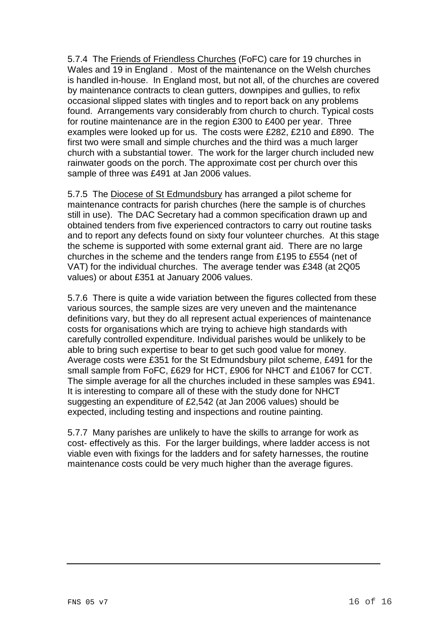5.7.4 The Friends of Friendless Churches (FoFC) care for 19 churches in Wales and 19 in England . Most of the maintenance on the Welsh churches is handled in-house. In England most, but not all, of the churches are covered by maintenance contracts to clean gutters, downpipes and gullies, to refix occasional slipped slates with tingles and to report back on any problems found. Arrangements vary considerably from church to church. Typical costs for routine maintenance are in the region £300 to £400 per year. Three examples were looked up for us. The costs were £282, £210 and £890. The first two were small and simple churches and the third was a much larger church with a substantial tower. The work for the larger church included new rainwater goods on the porch. The approximate cost per church over this sample of three was £491 at Jan 2006 values.

5.7.5 The Diocese of St Edmundsbury has arranged a pilot scheme for maintenance contracts for parish churches (here the sample is of churches still in use). The DAC Secretary had a common specification drawn up and obtained tenders from five experienced contractors to carry out routine tasks and to report any defects found on sixty four volunteer churches. At this stage the scheme is supported with some external grant aid. There are no large churches in the scheme and the tenders range from £195 to £554 (net of VAT) for the individual churches. The average tender was £348 (at 2Q05 values) or about £351 at January 2006 values.

5.7.6 There is quite a wide variation between the figures collected from these various sources, the sample sizes are very uneven and the maintenance definitions vary, but they do all represent actual experiences of maintenance costs for organisations which are trying to achieve high standards with carefully controlled expenditure. Individual parishes would be unlikely to be able to bring such expertise to bear to get such good value for money. Average costs were £351 for the St Edmundsbury pilot scheme, £491 for the small sample from FoFC, £629 for HCT, £906 for NHCT and £1067 for CCT. The simple average for all the churches included in these samples was £941. It is interesting to compare all of these with the study done for NHCT suggesting an expenditure of £2,542 (at Jan 2006 values) should be expected, including testing and inspections and routine painting.

5.7.7 Many parishes are unlikely to have the skills to arrange for work as cost- effectively as this. For the larger buildings, where ladder access is not viable even with fixings for the ladders and for safety harnesses, the routine maintenance costs could be very much higher than the average figures.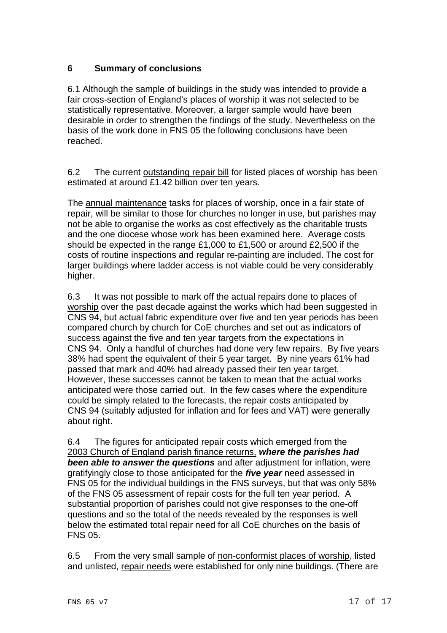# **6 Summary of conclusions**

6.1 Although the sample of buildings in the study was intended to provide a fair cross-section of England's places of worship it was not selected to be statistically representative. Moreover, a larger sample would have been desirable in order to strengthen the findings of the study. Nevertheless on the basis of the work done in FNS 05 the following conclusions have been reached.

6.2 The current outstanding repair bill for listed places of worship has been estimated at around £1.42 billion over ten years.

The annual maintenance tasks for places of worship, once in a fair state of repair, will be similar to those for churches no longer in use, but parishes may not be able to organise the works as cost effectively as the charitable trusts and the one diocese whose work has been examined here. Average costs should be expected in the range £1,000 to £1,500 or around £2,500 if the costs of routine inspections and regular re-painting are included. The cost for larger buildings where ladder access is not viable could be very considerably higher.

6.3 It was not possible to mark off the actual repairs done to places of worship over the past decade against the works which had been suggested in CNS 94, but actual fabric expenditure over five and ten year periods has been compared church by church for CoE churches and set out as indicators of success against the five and ten year targets from the expectations in CNS 94. Only a handful of churches had done very few repairs. By five years 38% had spent the equivalent of their 5 year target. By nine years 61% had passed that mark and 40% had already passed their ten year target. However, these successes cannot be taken to mean that the actual works anticipated were those carried out. In the few cases where the expenditure could be simply related to the forecasts, the repair costs anticipated by CNS 94 (suitably adjusted for inflation and for fees and VAT) were generally about right.

6.4 The figures for anticipated repair costs which emerged from the 2003 Church of England parish finance returns, **where the parishes had been able to answer the questions** and after adjustment for inflation, were gratifyingly close to those anticipated for the **five year** need assessed in FNS 05 for the individual buildings in the FNS surveys, but that was only 58% of the FNS 05 assessment of repair costs for the full ten year period. A substantial proportion of parishes could not give responses to the one-off questions and so the total of the needs revealed by the responses is well below the estimated total repair need for all CoE churches on the basis of FNS 05.

6.5 From the very small sample of non-conformist places of worship, listed and unlisted, repair needs were established for only nine buildings. (There are